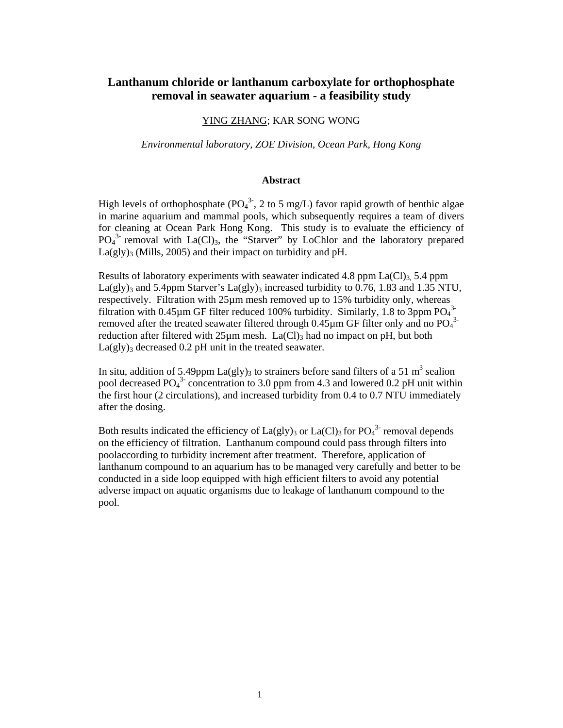# **Lanthanum chloride or lanthanum carboxylate for orthophosphate removal in seawater aquarium - a feasibility study**

# YING ZHANG; KAR SONG WONG

#### *Environmental laboratory, ZOE Division, Ocean Park, Hong Kong*

#### **Abstract**

High levels of orthophosphate ( $PO<sub>4</sub><sup>3</sup>$ , 2 to 5 mg/L) favor rapid growth of benthic algae in marine aquarium and mammal pools, which subsequently requires a team of divers for cleaning at Ocean Park Hong Kong. This study is to evaluate the efficiency of PO<sub>4</sub><sup>3</sup> removal with La(Cl)<sub>3</sub>, the "Starver" by LoChlor and the laboratory prepared  $La(gly)$ <sub>3</sub> (Mills, 2005) and their impact on turbidity and pH.

Results of laboratory experiments with seawater indicated 4.8 ppm  $La(Cl)$ <sub>3</sub>, 5.4 ppm La(gly)<sub>3</sub> and 5.4ppm Starver's La(gly)<sub>3</sub> increased turbidity to 0.76, 1.83 and 1.35 NTU, respectively. Filtration with 25µm mesh removed up to 15% turbidity only, whereas filtration with 0.45 $\mu$ m GF filter reduced 100% turbidity. Similarly, 1.8 to 3ppm PO $_4$ <sup>3</sup> removed after the treated seawater filtered through  $0.45 \mu$ m GF filter only and no PO<sub>4</sub><sup>3</sup> reduction after filtered with  $25\mu$ m mesh. La(Cl)<sub>3</sub> had no impact on pH, but both  $La(gly)$ <sub>3</sub> decreased 0.2 pH unit in the treated seawater.

In situ, addition of 5.49ppm La(gly)<sub>3</sub> to strainers before sand filters of a 51 m<sup>3</sup> sealion pool decreased  $PO<sub>4</sub><sup>3</sup>$  concentration to 3.0 ppm from 4.3 and lowered 0.2 pH unit within the first hour (2 circulations), and increased turbidity from 0.4 to 0.7 NTU immediately after the dosing.

Both results indicated the efficiency of  $La(gly)_3$  or  $La(Cl)_3$  for  $PO_4^{3}$ -removal depends on the efficiency of filtration. Lanthanum compound could pass through filters into poolaccording to turbidity increment after treatment. Therefore, application of lanthanum compound to an aquarium has to be managed very carefully and better to be conducted in a side loop equipped with high efficient filters to avoid any potential adverse impact on aquatic organisms due to leakage of lanthanum compound to the pool.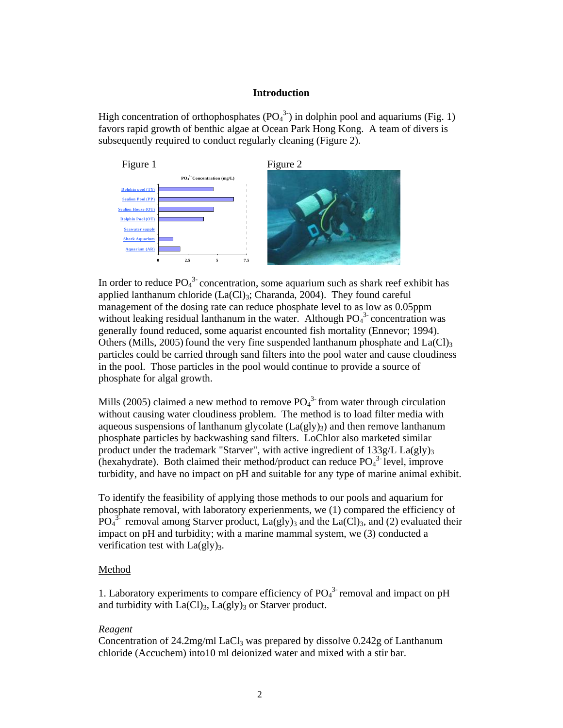## **Introduction**

High concentration of orthophosphates  $(PO_4^3)$  in dolphin pool and aquariums (Fig. 1) favors rapid growth of benthic algae at Ocean Park Hong Kong. A team of divers is subsequently required to conduct regularly cleaning (Figure 2).



In order to reduce  $PO_4^{3}$ -concentration, some aquarium such as shark reef exhibit has applied lanthanum chloride  $(La(Cl)_3; Charanda, 2004)$ . They found careful management of the dosing rate can reduce phosphate level to as low as 0.05ppm without leaking residual lanthanum in the water. Although  $PO<sub>4</sub><sup>3</sup>$  concentration was generally found reduced, some aquarist encounted fish mortality (Ennevor; 1994). Others (Mills, 2005) found the very fine suspended lanthanum phosphate and  $La(Cl)<sub>3</sub>$ particles could be carried through sand filters into the pool water and cause cloudiness in the pool. Those particles in the pool would continue to provide a source of phosphate for algal growth.

Mills (2005) claimed a new method to remove  $PO_4^{3}$  from water through circulation without causing water cloudiness problem. The method is to load filter media with aqueous suspensions of lanthanum glycolate  $(La(gly)3)$  and then remove lanthanum phosphate particles by backwashing sand filters. LoChlor also marketed similar product under the trademark "Starver", with active ingredient of  $133g/L$  La(gly)<sub>3</sub> (hexahydrate). Both claimed their method/product can reduce  $PO<sub>4</sub><sup>3</sup>$  level, improve turbidity, and have no impact on pH and suitable for any type of marine animal exhibit.

To identify the feasibility of applying those methods to our pools and aquarium for phosphate removal, with laboratory experienments, we (1) compared the efficiency of  $PO<sub>4</sub><sup>3</sup>$  removal among Starver product,  $La(gly)<sub>3</sub>$  and the  $La(Cl)<sub>3</sub>$ , and (2) evaluated their impact on pH and turbidity; with a marine mammal system, we (3) conducted a verification test with  $La(gly)_3$ .

### Method

1. Laboratory experiments to compare efficiency of  $PO<sub>4</sub><sup>3</sup>$  removal and impact on pH and turbidity with  $La(Cl)<sub>3</sub>$ ,  $La(gl)<sub>3</sub>$  or Starver product.

#### *Reagent*

Concentration of 24.2mg/ml LaCl<sub>3</sub> was prepared by dissolve  $0.242g$  of Lanthanum chloride (Accuchem) into10 ml deionized water and mixed with a stir bar.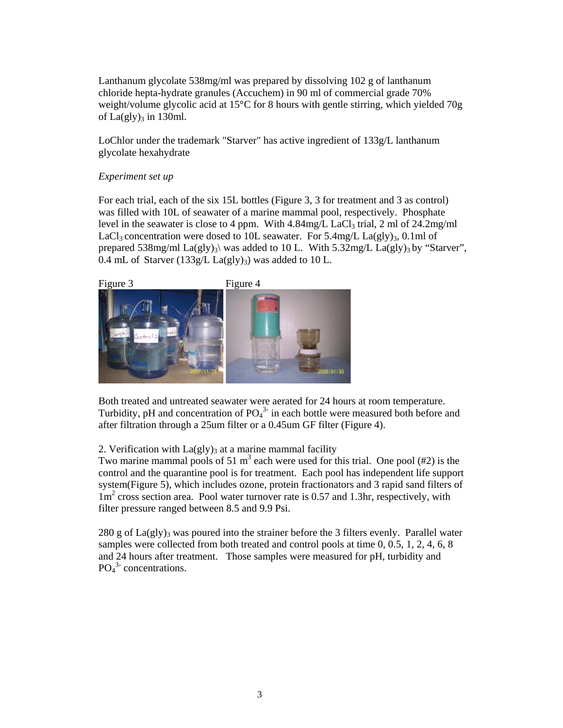Lanthanum glycolate 538mg/ml was prepared by dissolving 102 g of lanthanum chloride hepta-hydrate granules (Accuchem) in 90 ml of commercial grade 70% weight/volume glycolic acid at 15°C for 8 hours with gentle stirring, which yielded 70g of  $La(gly)_3$  in 130ml.

LoChlor under the trademark "Starver" has active ingredient of 133g/L lanthanum glycolate hexahydrate

# *Experiment set up*

For each trial, each of the six 15L bottles (Figure 3, 3 for treatment and 3 as control) was filled with 10L of seawater of a marine mammal pool, respectively. Phosphate level in the seawater is close to 4 ppm. With  $4.84$ mg/L LaCl<sub>3</sub> trial, 2 ml of 24.2mg/ml LaCl<sub>3</sub> concentration were dosed to 10L seawater. For  $5.4$ mg/L La(gly)<sub>3</sub>, 0.1ml of prepared 538mg/ml La(gly)<sub>3</sub>\ was added to 10 L. With 5.32mg/L La(gly)<sub>3</sub> by "Starver", 0.4 mL of Starver (133g/L La(gly)<sub>3</sub>) was added to 10 L.



Both treated and untreated seawater were aerated for 24 hours at room temperature. Turbidity, pH and concentration of  $PO<sub>4</sub><sup>3</sup>$  in each bottle were measured both before and after filtration through a 25um filter or a 0.45um GF filter (Figure 4).

2. Verification with  $La(gly)_3$  at a marine mammal facility

Two marine mammal pools of 51 m<sup>3</sup> each were used for this trial. One pool  $(\#2)$  is the control and the quarantine pool is for treatment. Each pool has independent life support system(Figure 5), which includes ozone, protein fractionators and 3 rapid sand filters of 1m<sup>2</sup> cross section area. Pool water turnover rate is 0.57 and 1.3hr, respectively, with filter pressure ranged between 8.5 and 9.9 Psi.

280 g of  $La(gly)$ <sub>3</sub> was poured into the strainer before the 3 filters evenly. Parallel water samples were collected from both treated and control pools at time 0, 0.5, 1, 2, 4, 6, 8 and 24 hours after treatment. Those samples were measured for pH, turbidity and  $PO<sub>4</sub><sup>3</sup>$  concentrations.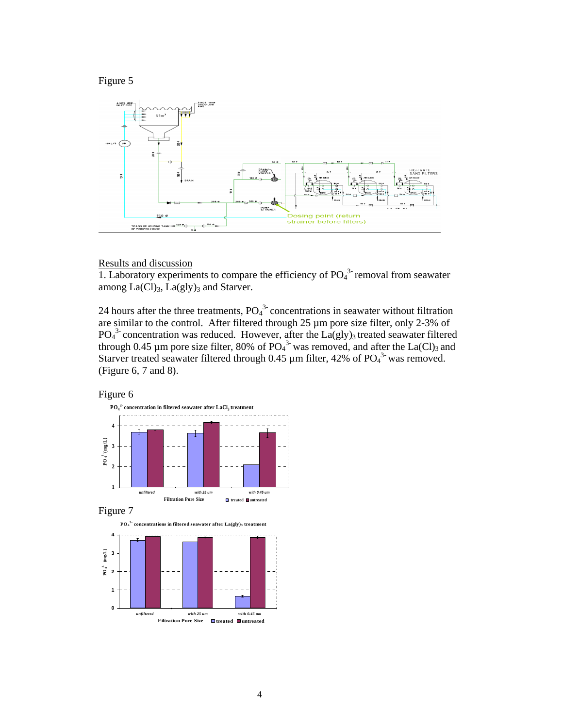



# Results and discussion

1. Laboratory experiments to compare the efficiency of  $PO<sub>4</sub><sup>3</sup>$  removal from seawater among  $La(Cl)<sub>3</sub>$ ,  $La(gly)<sub>3</sub>$  and Starver.

24 hours after the three treatments,  $PO<sub>4</sub><sup>3</sup>$  concentrations in seawater without filtration are similar to the control. After filtered through 25 µm pore size filter, only 2-3% of  $PO<sub>4</sub><sup>3</sup>$  concentration was reduced. However, after the La(gly)<sub>3</sub> treated seawater filtered through 0.45 µm pore size filter, 80% of  $PO_4^3$  was removed, and after the La(Cl)<sub>3</sub> and Starver treated seawater filtered through 0.45  $\mu$ m filter, 42% of PO<sub>4</sub><sup>3</sup> was removed. (Figure 6, 7 and 8).

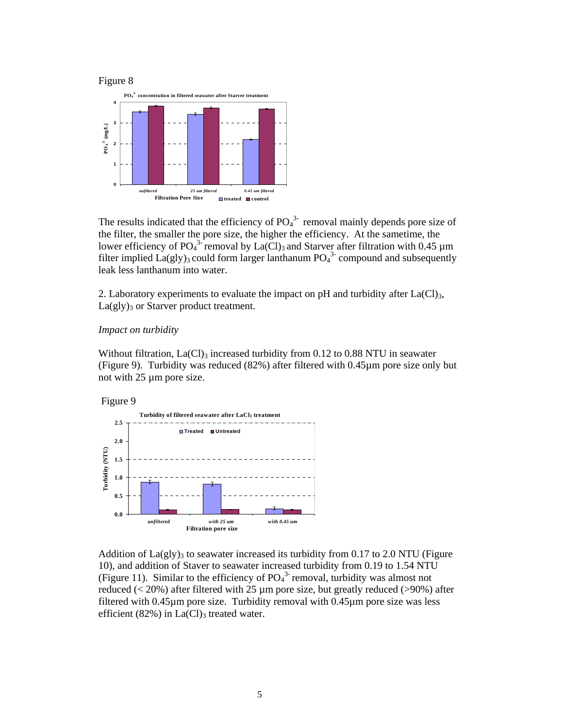



The results indicated that the efficiency of  $PO<sub>4</sub><sup>3</sup>$  removal mainly depends pore size of the filter, the smaller the pore size, the higher the efficiency. At the sametime, the lower efficiency of PO<sub>4</sub><sup>3-</sup> removal by La(Cl)<sub>3</sub> and Starver after filtration with 0.45  $\mu$ m filter implied  $La(gly)_3$  could form larger lanthanum  $PO_4^{3}$  compound and subsequently leak less lanthanum into water.

2. Laboratory experiments to evaluate the impact on pH and turbidity after  $La(Cl)_{3}$ ,  $La(gly)$ <sub>3</sub> or Starver product treatment.

#### *Impact on turbidity*

Without filtration,  $La(Cl)$ <sub>3</sub> increased turbidity from 0.12 to 0.88 NTU in seawater (Figure 9). Turbidity was reduced (82%) after filtered with 0.45µm pore size only but not with 25 µm pore size.





Addition of  $La(gly)$ <sub>3</sub> to seawater increased its turbidity from 0.17 to 2.0 NTU (Figure 10), and addition of Staver to seawater increased turbidity from 0.19 to 1.54 NTU (Figure 11). Similar to the efficiency of  $PO<sub>4</sub><sup>3</sup>$  removal, turbidity was almost not reduced (< 20%) after filtered with 25 µm pore size, but greatly reduced (>90%) after filtered with 0.45µm pore size. Turbidity removal with 0.45µm pore size was less efficient  $(82\%)$  in La(Cl)<sub>3</sub> treated water.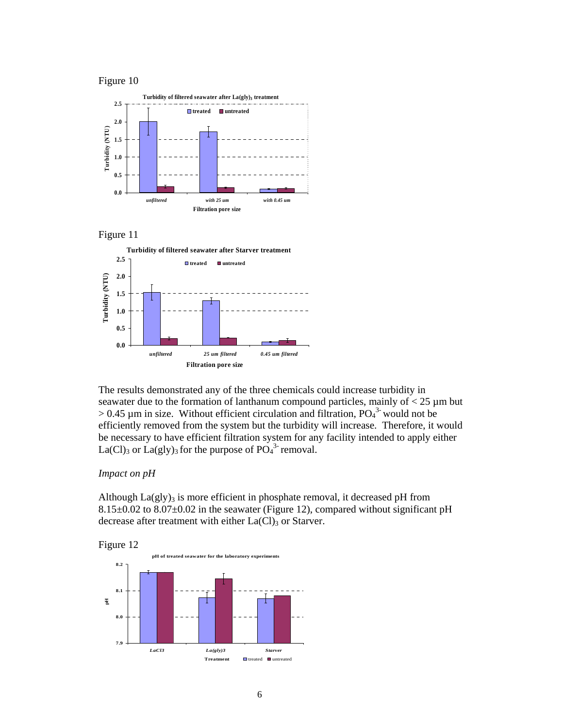#### Figure 10







The results demonstrated any of the three chemicals could increase turbidity in seawater due to the formation of lanthanum compound particles, mainly of  $< 25 \mu m$  but  $> 0.45$  µm in size. Without efficient circulation and filtration,  $PO<sub>4</sub><sup>3</sup>$  would not be efficiently removed from the system but the turbidity will increase. Therefore, it would be necessary to have efficient filtration system for any facility intended to apply either La(Cl)<sub>3</sub> or La(gly)<sub>3</sub> for the purpose of  $PO<sub>4</sub><sup>3</sup>$  removal.

## *Impact on pH*

Although  $La(gly)$ <sub>3</sub> is more efficient in phosphate removal, it decreased pH from 8.15±0.02 to 8.07±0.02 in the seawater (Figure 12), compared without significant pH decrease after treatment with either  $La(Cl)$ <sub>3</sub> or Starver.

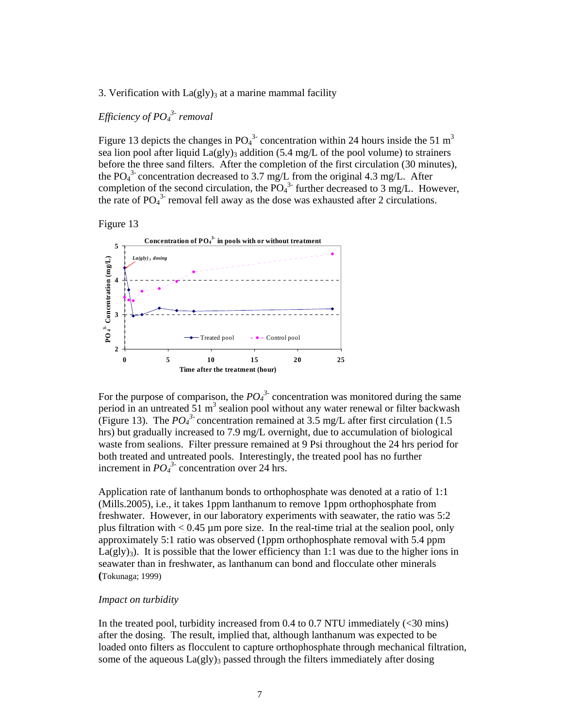# 3. Verification with  $La(gly)_3$  at a marine mammal facility

*Efficiency of PO4 3- removal* 

Figure 13 depicts the changes in  $PO<sub>4</sub><sup>3</sup>$  concentration within 24 hours inside the 51 m<sup>3</sup> sea lion pool after liquid  $La(gly)$ <sub>3</sub> addition (5.4 mg/L of the pool volume) to strainers before the three sand filters. After the completion of the first circulation (30 minutes), the PO<sub>4</sub><sup>3</sup> concentration decreased to 3.7 mg/L from the original 4.3 mg/L. After completion of the second circulation, the  $\overline{PO_4}^3$  further decreased to 3 mg/L. However, the rate of  $PO_4^3$  removal fell away as the dose was exhausted after 2 circulations.

Figure 13



For the purpose of comparison, the  $PO_4^3$  concentration was monitored during the same period in an untreated  $51 \text{ m}^3$  sealion pool without any water renewal or filter backwash (Figure 13). The  $PO_4^3$  concentration remained at 3.5 mg/L after first circulation (1.5) hrs) but gradually increased to 7.9 mg/L overnight, due to accumulation of biological waste from sealions. Filter pressure remained at 9 Psi throughout the 24 hrs period for both treated and untreated pools. Interestingly, the treated pool has no further increment in  $PO_4^3$  concentration over 24 hrs.

Application rate of lanthanum bonds to orthophosphate was denoted at a ratio of 1:1 (Mills.2005), i.e., it takes 1ppm lanthanum to remove 1ppm orthophosphate from freshwater. However, in our laboratory experiments with seawater, the ratio was 5:2 plus filtration with  $< 0.45 \mu m$  pore size. In the real-time trial at the sealion pool, only approximately 5:1 ratio was observed (1ppm orthophosphate removal with 5.4 ppm La(gly)<sub>3</sub>). It is possible that the lower efficiency than 1:1 was due to the higher ions in seawater than in freshwater, as lanthanum can bond and flocculate other minerals **(**Tokunaga; 1999)

## *Impact on turbidity*

In the treated pool, turbidity increased from 0.4 to 0.7 NTU immediately (<30 mins) after the dosing. The result, implied that, although lanthanum was expected to be loaded onto filters as flocculent to capture orthophosphate through mechanical filtration, some of the aqueous  $La(gly)_3$  passed through the filters immediately after dosing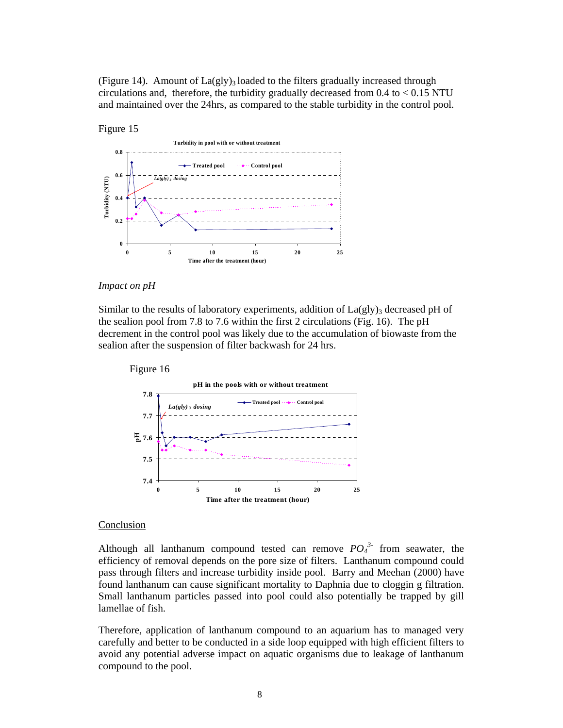(Figure 14). Amount of  $La(gly)_3$  loaded to the filters gradually increased through circulations and, therefore, the turbidity gradually decreased from  $0.4$  to  $< 0.15$  NTU and maintained over the 24hrs, as compared to the stable turbidity in the control pool.



#### *Impact on pH*

Similar to the results of laboratory experiments, addition of  $La(gly)$ <sub>3</sub> decreased pH of the sealion pool from 7.8 to 7.6 within the first 2 circulations (Fig. 16). The pH decrement in the control pool was likely due to the accumulation of biowaste from the sealion after the suspension of filter backwash for 24 hrs.



#### **Conclusion**

Although all lanthanum compound tested can remove  $PO_4^{3}$  from seawater, the efficiency of removal depends on the pore size of filters. Lanthanum compound could pass through filters and increase turbidity inside pool. Barry and Meehan (2000) have found lanthanum can cause significant mortality to Daphnia due to cloggin g filtration. Small lanthanum particles passed into pool could also potentially be trapped by gill lamellae of fish.

Therefore, application of lanthanum compound to an aquarium has to managed very carefully and better to be conducted in a side loop equipped with high efficient filters to avoid any potential adverse impact on aquatic organisms due to leakage of lanthanum compound to the pool.